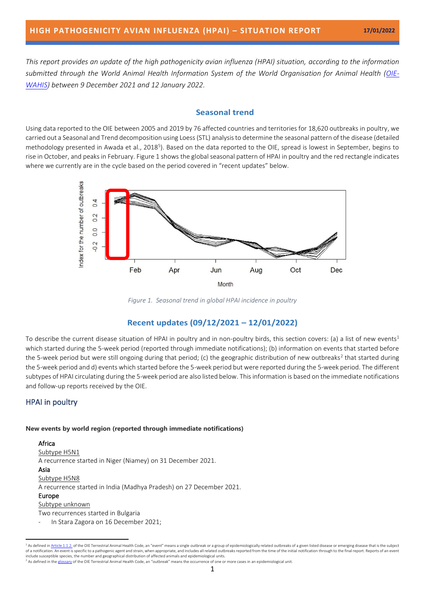*This report provides an update of the high pathogenicity avian influenza (HPAI) situation, according to the information submitted through the World Animal Health Information System of the World Organisation for Animal Health [\(OIE-](https://wahis.oie.int/)[WAHIS\)](https://wahis.oie.int/) between 9 December 2021 and 12 January 2022.*

## **Seasonal trend**

Using data reported to the OIE between 2005 and 2019 by 76 affected countries and territories for 18,620 outbreaks in poultry, we carried out a Seasonal and Trend decomposition using Loess (STL) analysis to determine the seasonal pattern of the disease (detailed methodology presented in Awada et al., 201[8](#page-5-0)<sup>5</sup>). Based on the data reported to the OIE, spread is lowest in September, begins to rise in October, and peaks in February. Figure 1 shows the global seasonal pattern of HPAI in poultry and the red rectangle indicates where we currently are in the cycle based on the period covered in "recent updates" below.



*Figure 1. Seasonal trend in global HPAI incidence in poultry*

# **Recent updates (09/12/2021 – 12/01/2022)**

To describe the current disease situation of HPAI in poultry and in non-poultry birds, this section covers: (a) a list of new events<sup>1</sup> which started during the 5-week period (reported through immediate notifications); (b) information on events that started before the 5-week period but were still ongoing during that period; (c) the geographic distribution of new outbreaks<sup>2</sup> that started during the 5-week period and d) events which started before the 5-week period but were reported during the 5-week period. The different subtypes of HPAI circulating during the 5-week period are also listed below. This information is based on the immediate notifications and follow-up reports received by the OIE.

# HPAI in poultry

### **New events by world region (reported through immediate notifications)**

### Africa Subtype H5N1

A recurrence started in Niger (Niamey) on 31 December 2021.

### Asia

Subtype H5N8

A recurrence started in India (Madhya Pradesh) on 27 December 2021.

### Europe

Subtype unknown

Two recurrences started in Bulgaria

In Stara Zagora on 16 December 2021;

<sup>&</sup>lt;sup>1</sup> As defined in <u>Article 1.1.2.</u> of the OIE Terrestrial Animal Health Code, an "event" means a single [outbreak](https://www.oie.int/en/what-we-do/standards/codes-and-manuals/terrestrial-code-online-access/index.php?id=169&L=1&htmfile=glossaire.htm#terme_foyer_de_maladie) or a group of epidemiologically related [outbreaks](https://www.oie.int/en/what-we-do/standards/codes-and-manuals/terrestrial-code-online-access/index.php?id=169&L=1&htmfile=glossaire.htm#terme_foyer_de_maladie) of a given [listed disease](https://www.oie.int/en/what-we-do/standards/codes-and-manuals/terrestrial-code-online-access/index.php?id=169&L=1&htmfile=glossaire.htm#terme_maladie_de_la_liste_de_l_oie) or [emerging disease](https://www.oie.int/en/what-we-do/standards/codes-and-manuals/terrestrial-code-online-access/index.php?id=169&L=1&htmfile=glossaire.htm#terme_maladie_emergente) that is the s include susceptible species, the number and geographical distribution of affected animals and epidemiological units.

 $^2$  As defined in th[e glossary](https://www.oie.int/en/what-we-do/standards/codes-and-manuals/terrestrial-code-online-access/?id=169&L=1&htmfile=glossaire.htm) of the OIE Terrestrial Animal Health Code, an "outbreak" means the occurrence of one or more cases in an epidemiological unit.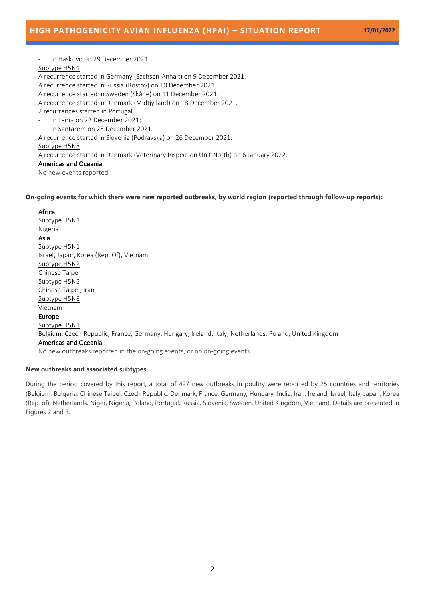- In Haskovo on 29 December 2021.

### Subtype H5N1

A recurrence started in Germany (Sachsen-Anhalt) on 9 December 2021.

A recurrence started in Russia (Rostov) on 10 December 2021.

A recurrence started in Sweden (Skåne) on 11 December 2021.

A recurrence started in Denmark (Midtjylland) on 18 December 2021.

2 recurrences started in Portugal

- In Leiria on 22 December 2021;
- In Santarém on 28 December 2021.

A recurrence started in Slovenia (Podravska) on 26 December 2021.

## Subtype H5N8

A recurrence started in Denmark (Veterinary Inspection Unit North) on 6 January 2022.

## Americas and Oceania

No new events reported

### **On-going events for which there were new reported outbreaks, by world region (reported through follow-up reports):**

## Africa

Subtype H5N1 Nigeria Asia Subtype H5N1 Israel, Japan, Korea (Rep. Of), Vietnam Subtype H5N2 Chinese Taipei Subtype H5N5 Chinese Taipei, Iran Subtype H5N8 Vietnam Europe Subtype H5N1 Belgium, Czech Republic, France, Germany, Hungary, Ireland, Italy, Netherlands, Poland, United Kingdom Americas and Oceania No new outbreaks reported in the on-going events, or no on-going events

## **New outbreaks and associated subtypes**

During the period covered by this report, a total of 427 new outbreaks in poultry were reported by 25 countries and territories (Belgium, Bulgaria, Chinese Taipei, Czech Republic, Denmark, France, Germany, Hungary, India, Iran, Ireland, Israel, Italy, Japan, Korea (Rep. of), Netherlands, Niger, Nigeria, Poland, Portugal, Russia, Slovenia, Sweden, United Kingdom, Vietnam). Details are presented in Figures 2 and 3.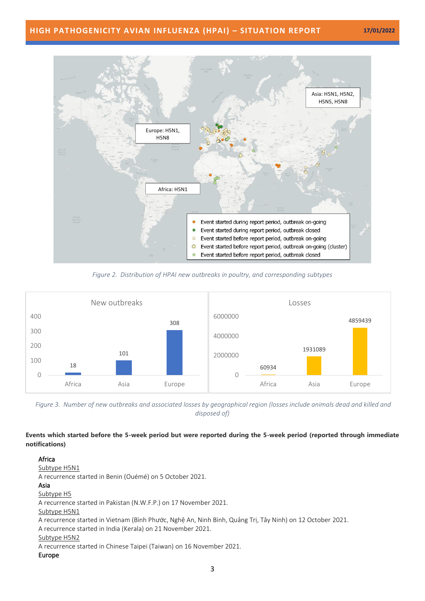# **HIGH PATHOGENICITY AVIAN INFLUENZA (HPAI) – SITUATION REPORT 17/01/2022**



*Figure 2. Distribution of HPAI new outbreaks in poultry, and corresponding subtypes*



*Figure 3. Number of new outbreaks and associated losses by geographical region (losses include animals dead and killed and disposed of)*

# **Events which started before the 5-week period but were reported during the 5-week period (reported through immediate notifications)**

### Africa

Subtype H5N1

A recurrence started in Benin (Ouémé) on 5 October 2021.

### Asia

Subtype H5

A recurrence started in Pakistan (N.W.F.P.) on 17 November 2021.

### Subtype H5N1

A recurrence started in Vietnam (Bình Phước, Nghệ An, Ninh Bình, Quảng Trị, Tây Ninh) on 12 October 2021.

A recurrence started in India (Kerala) on 21 November 2021.

### Subtype H5N2

A recurrence started in Chinese Taipei (Taiwan) on 16 November 2021.

### Europe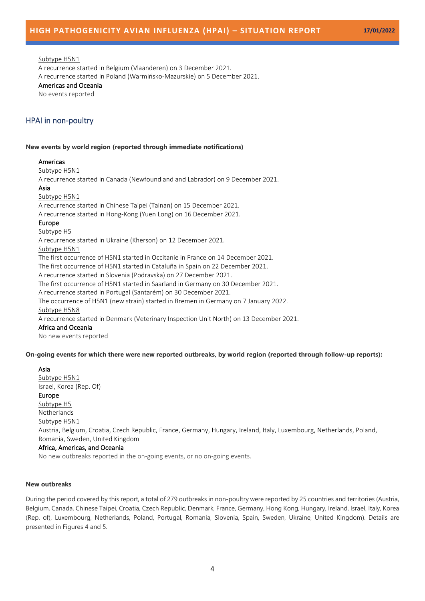### Subtype H5N1

A recurrence started in Belgium (Vlaanderen) on 3 December 2021. A recurrence started in Poland (Warmińsko-Mazurskie) on 5 December 2021.

## Americas and Oceania

No events reported

# HPAI in non-poultry

#### **New events by world region (reported through immediate notifications)**

### Americas

Subtype H5N1

A recurrence started in Canada (Newfoundland and Labrador) on 9 December 2021.

#### Asia

### Subtype H5N1

A recurrence started in Chinese Taipei (Tainan) on 15 December 2021.

A recurrence started in Hong-Kong (Yuen Long) on 16 December 2021.

#### Europe

### Subtype H5

A recurrence started in Ukraine (Kherson) on 12 December 2021.

#### Subtype H5N1

The first occurrence of H5N1 started in Occitanie in France on 14 December 2021.

The first occurrence of H5N1 started in Cataluña in Spain on 22 December 2021.

A recurrence started in Slovenia (Podravska) on 27 December 2021.

The first occurrence of H5N1 started in Saarland in Germany on 30 December 2021.

A recurrence started in Portugal (Santarém) on 30 December 2021.

The occurrence of H5N1 (new strain) started in Bremen in Germany on 7 January 2022. Subtype H5N8

A recurrence started in Denmark (Veterinary Inspection Unit North) on 13 December 2021.

#### Africa and Oceania

No new events reported

### **On-going events for which there were new reported outbreaks, by world region (reported through follow-up reports):**

## Asia

Subtype H5N1 Israel, Korea (Rep. Of) Europe Subtype H5 Netherlands Subtype H5N1 Austria, Belgium, Croatia, Czech Republic, France, Germany, Hungary, Ireland, Italy, Luxembourg, Netherlands, Poland, Romania, Sweden, United Kingdom Africa, Americas, and Oceania No new outbreaks reported in the on-going events, or no on-going events.

## **New outbreaks**

During the period covered by this report, a total of 279 outbreaks in non-poultry were reported by 25 countries and territories (Austria, Belgium, Canada, Chinese Taipei, Croatia, Czech Republic, Denmark, France, Germany, Hong Kong, Hungary, Ireland, Israel, Italy, Korea (Rep. of), Luxembourg, Netherlands, Poland, Portugal, Romania, Slovenia, Spain, Sweden, Ukraine, United Kingdom). Details are presented in Figures 4 and 5.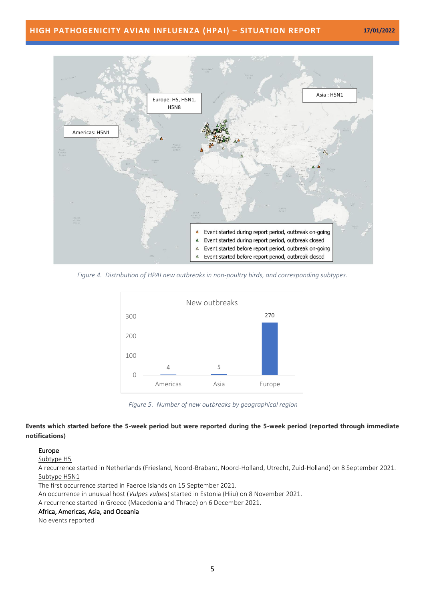# **HIGH PATHOGENICITY AVIAN INFLUENZA (HPAI) – SITUATION REPORT 17/01/2022**



*Figure 4. Distribution of HPAI new outbreaks in non-poultry birds, and corresponding subtypes.*



*Figure 5. Number of new outbreaks by geographical region*

## **Events which started before the 5-week period but were reported during the 5-week period (reported through immediate notifications)**

## Europe

Subtype H5

A recurrence started in Netherlands (Friesland, Noord-Brabant, Noord-Holland, Utrecht, Zuid-Holland) on 8 September 2021. Subtype H5N1

The first occurrence started in Faeroe Islands on 15 September 2021.

An occurrence in unusual host (*Vulpes vulpes*) started in Estonia (Hiiu) on 8 November 2021.

A recurrence started in Greece (Macedonia and Thrace) on 6 December 2021.

## Africa, Americas, Asia, and Oceania

No events reported